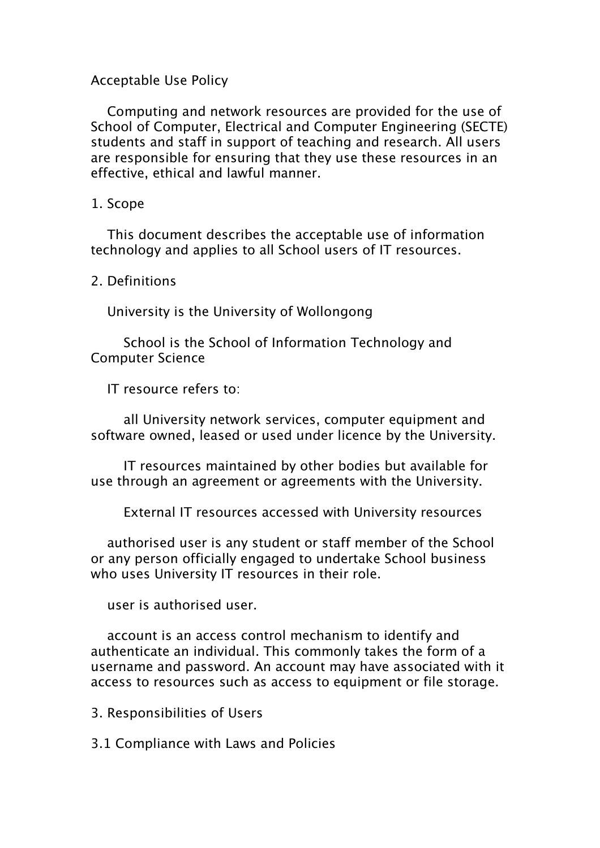# Acceptable Use Policy

Computing and network resources are provided for the use of School of Computer, Electrical and Computer Engineering (SECTE) students and staff in support of teaching and research. All users are responsible for ensuring that they use these resources in an effective, ethical and lawful manner.

# 1. Scope

This document describes the acceptable use of information technology and applies to all School users of IT resources.

2. Definitions

University is the University of Wollongong

School is the School of Information Technology and Computer Science

IT resource refers to:

all University network services, computer equipment and software owned, leased or used under licence by the University.

IT resources maintained by other bodies but available for use through an agreement or agreements with the University.

External IT resources accessed with University resources

authorised user is any student or staff member of the School or any person officially engaged to undertake School business who uses University IT resources in their role.

user is authorised user.

account is an access control mechanism to identify and authenticate an individual. This commonly takes the form of a username and password. An account may have associated with it access to resources such as access to equipment or file storage.

3. Responsibilities of Users

3.1 Compliance with Laws and Policies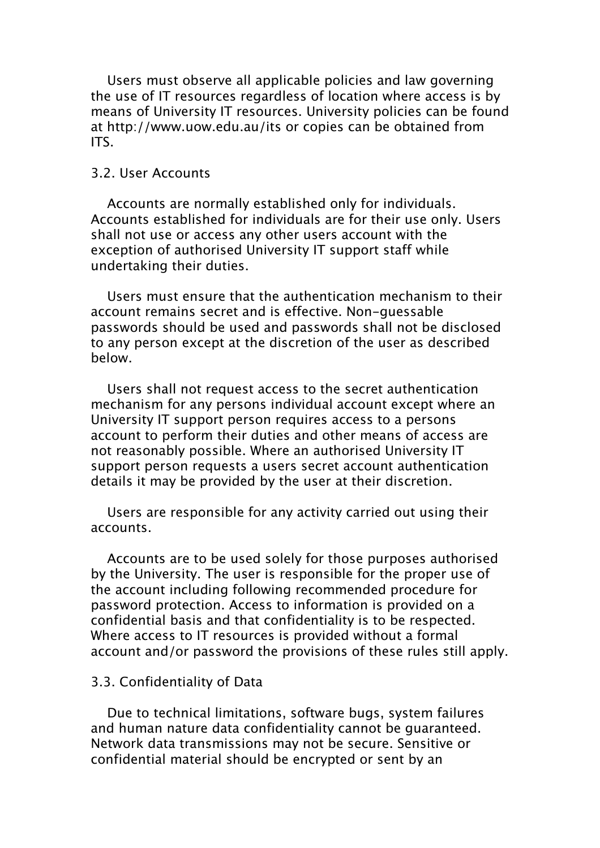Users must observe all applicable policies and law governing the use of IT resources regardless of location where access is by means of University IT resources. University policies can be found at http://www.uow.edu.au/its or copies can be obtained from ITS.

# 3.2. User Accounts

Accounts are normally established only for individuals. Accounts established for individuals are for their use only. Users shall not use or access any other users account with the exception of authorised University IT support staff while undertaking their duties.

Users must ensure that the authentication mechanism to their account remains secret and is effective. Non-guessable passwords should be used and passwords shall not be disclosed to any person except at the discretion of the user as described below.

Users shall not request access to the secret authentication mechanism for any persons individual account except where an University IT support person requires access to a persons account to perform their duties and other means of access are not reasonably possible. Where an authorised University IT support person requests a users secret account authentication details it may be provided by the user at their discretion.

Users are responsible for any activity carried out using their accounts.

Accounts are to be used solely for those purposes authorised by the University. The user is responsible for the proper use of the account including following recommended procedure for password protection. Access to information is provided on a confidential basis and that confidentiality is to be respected. Where access to IT resources is provided without a formal account and/or password the provisions of these rules still apply.

### 3.3. Confidentiality of Data

Due to technical limitations, software bugs, system failures and human nature data confidentiality cannot be guaranteed. Network data transmissions may not be secure. Sensitive or confidential material should be encrypted or sent by an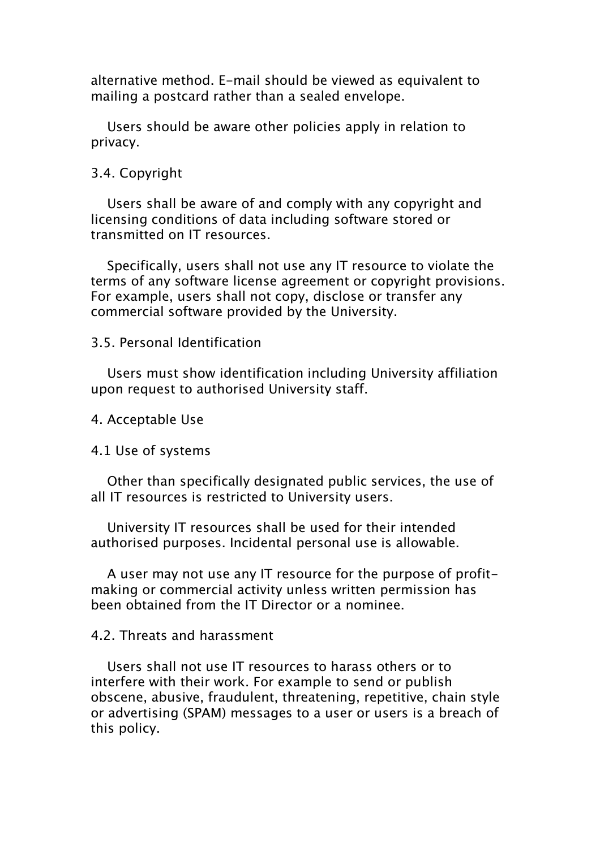alternative method. E-mail should be viewed as equivalent to mailing a postcard rather than a sealed envelope.

Users should be aware other policies apply in relation to privacy.

### 3.4. Copyright

Users shall be aware of and comply with any copyright and licensing conditions of data including software stored or transmitted on IT resources.

Specifically, users shall not use any IT resource to violate the terms of any software license agreement or copyright provisions. For example, users shall not copy, disclose or transfer any commercial software provided by the University.

### 3.5. Personal Identification

Users must show identification including University affiliation upon request to authorised University staff.

4. Acceptable Use

### 4.1 Use of systems

Other than specifically designated public services, the use of all IT resources is restricted to University users.

University IT resources shall be used for their intended authorised purposes. Incidental personal use is allowable.

A user may not use any IT resource for the purpose of profitmaking or commercial activity unless written permission has been obtained from the IT Director or a nominee.

## 4.2. Threats and harassment

Users shall not use IT resources to harass others or to interfere with their work. For example to send or publish obscene, abusive, fraudulent, threatening, repetitive, chain style or advertising (SPAM) messages to a user or users is a breach of this policy.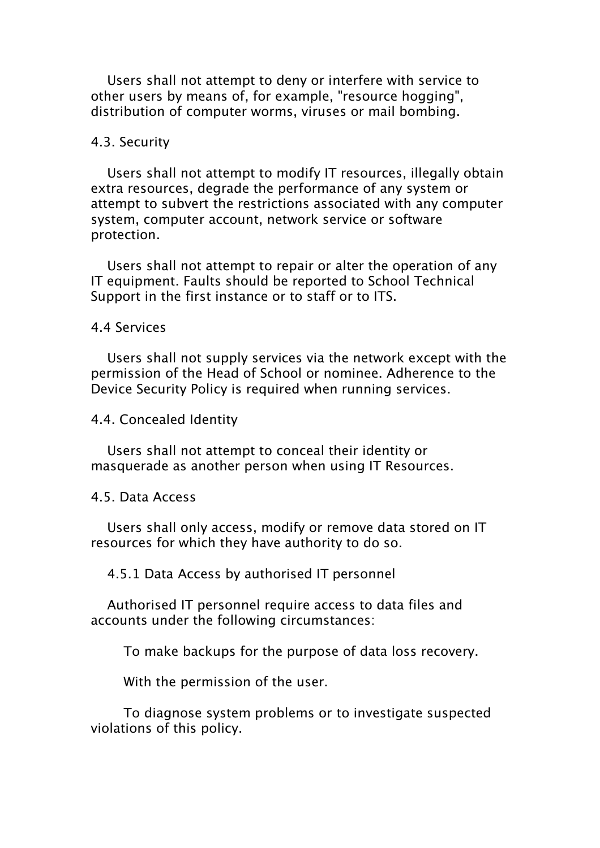Users shall not attempt to deny or interfere with service to other users by means of, for example, "resource hogging", distribution of computer worms, viruses or mail bombing.

#### 4.3. Security

Users shall not attempt to modify IT resources, illegally obtain extra resources, degrade the performance of any system or attempt to subvert the restrictions associated with any computer system, computer account, network service or software protection.

Users shall not attempt to repair or alter the operation of any IT equipment. Faults should be reported to School Technical Support in the first instance or to staff or to ITS.

#### 4.4 Services

Users shall not supply services via the network except with the permission of the Head of School or nominee. Adherence to the Device Security Policy is required when running services.

4.4. Concealed Identity

Users shall not attempt to conceal their identity or masquerade as another person when using IT Resources.

4.5. Data Access

Users shall only access, modify or remove data stored on IT resources for which they have authority to do so.

4.5.1 Data Access by authorised IT personnel

Authorised IT personnel require access to data files and accounts under the following circumstances:

To make backups for the purpose of data loss recovery.

With the permission of the user.

To diagnose system problems or to investigate suspected violations of this policy.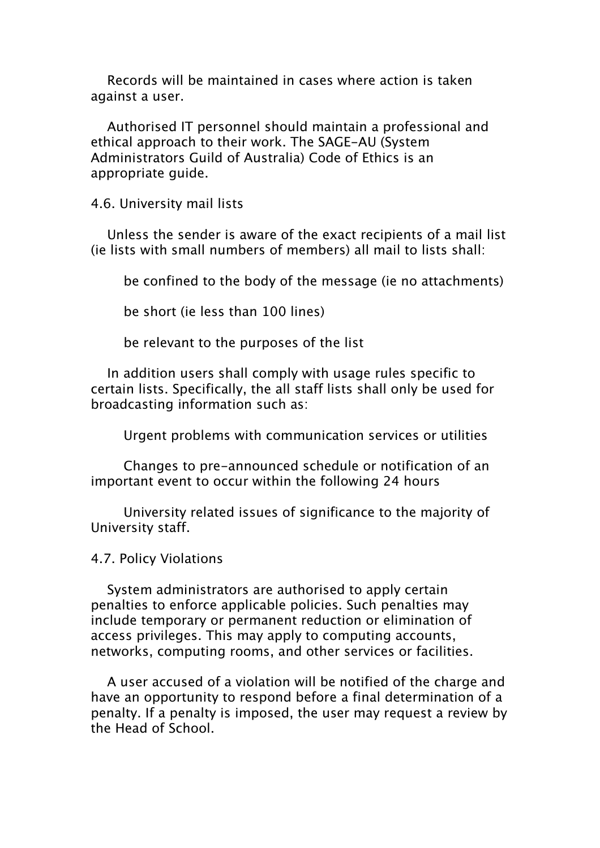Records will be maintained in cases where action is taken against a user.

Authorised IT personnel should maintain a professional and ethical approach to their work. The SAGE-AU (System Administrators Guild of Australia) Code of Ethics is an appropriate guide.

4.6. University mail lists

Unless the sender is aware of the exact recipients of a mail list (ie lists with small numbers of members) all mail to lists shall:

be confined to the body of the message (ie no attachments)

be short (ie less than 100 lines)

be relevant to the purposes of the list

In addition users shall comply with usage rules specific to certain lists. Specifically, the all staff lists shall only be used for broadcasting information such as:

Urgent problems with communication services or utilities

Changes to pre-announced schedule or notification of an important event to occur within the following 24 hours

University related issues of significance to the majority of University staff.

4.7. Policy Violations

System administrators are authorised to apply certain penalties to enforce applicable policies. Such penalties may include temporary or permanent reduction or elimination of access privileges. This may apply to computing accounts, networks, computing rooms, and other services or facilities.

A user accused of a violation will be notified of the charge and have an opportunity to respond before a final determination of a penalty. If a penalty is imposed, the user may request a review by the Head of School.